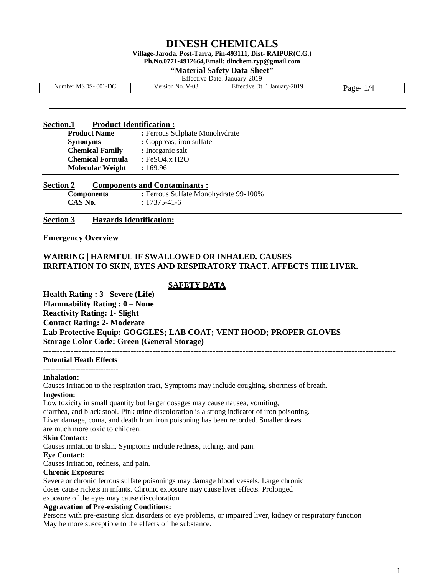| <b>DINESH CHEMICALS</b><br>Village-Jaroda, Post-Tarra, Pin-493111, Dist-RAIPUR(C.G.)<br>Ph.No.0771-4912664, Email: dinchem.ryp@gmail.com<br>"Material Safety Data Sheet"<br>Effective Date: January-2019      |                                                                                                                                                                                      |                                                                    |             |  |
|---------------------------------------------------------------------------------------------------------------------------------------------------------------------------------------------------------------|--------------------------------------------------------------------------------------------------------------------------------------------------------------------------------------|--------------------------------------------------------------------|-------------|--|
| Number MSDS-001-DC                                                                                                                                                                                            | Version No. V-03                                                                                                                                                                     | Effective Dt. 1 January-2019                                       | Page- $1/4$ |  |
| Section.1<br><b>Product Name</b><br><b>Synonyms</b><br><b>Chemical Family</b><br><b>Chemical Formula</b><br><b>Molecular Weight</b><br><b>Section 2</b>                                                       | <b>Product Identification:</b><br>: Ferrous Sulphate Monohydrate<br>: Coppreas, iron sulfate<br>: Inorganic salt<br>: FeSO4.x H2O<br>: 169.96<br><b>Components and Contaminants:</b> |                                                                    |             |  |
| <b>Components</b><br>CAS No.                                                                                                                                                                                  | : Ferrous Sulfate Monohydrate 99-100%<br>$: 17375 - 41 - 6$                                                                                                                          |                                                                    |             |  |
| <b>Section 3</b>                                                                                                                                                                                              | <b>Hazards Identification:</b>                                                                                                                                                       |                                                                    |             |  |
| <b>Emergency Overview</b>                                                                                                                                                                                     |                                                                                                                                                                                      |                                                                    |             |  |
| <b>WARRING   HARMFUL IF SWALLOWED OR INHALED. CAUSES</b>                                                                                                                                                      |                                                                                                                                                                                      | IRRITATION TO SKIN, EYES AND RESPIRATORY TRACT. AFFECTS THE LIVER. |             |  |
| Health Rating : 3 – Severe (Life)<br><b>Flammability Rating : 0 – None</b><br><b>Reactivity Rating: 1- Slight</b><br><b>Contact Rating: 2- Moderate</b><br><b>Storage Color Code: Green (General Storage)</b> | <b>SAFETY DATA</b>                                                                                                                                                                   | Lab Protective Equip: GOGGLES; LAB COAT; VENT HOOD; PROPER GLOVES  |             |  |
| <b>Potential Heath Effects</b><br><b>Inhalation:</b>                                                                                                                                                          |                                                                                                                                                                                      |                                                                    |             |  |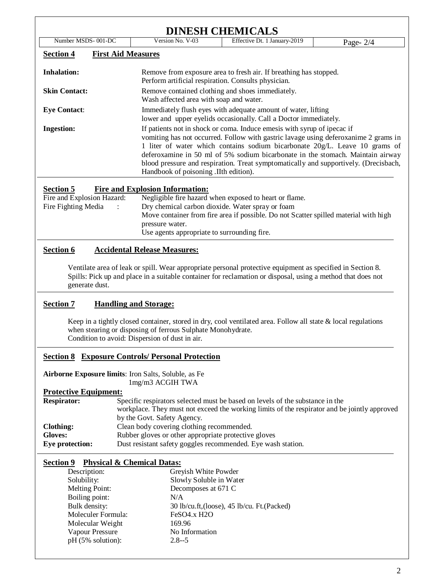| Number MSDS-001-DC   | Version No. V-03                                                                                                                                                                                                                                                                                                                                                                                                                                                  | Effective Dt. 1 January-2019<br>Page- $2/4$ |  |  |  |
|----------------------|-------------------------------------------------------------------------------------------------------------------------------------------------------------------------------------------------------------------------------------------------------------------------------------------------------------------------------------------------------------------------------------------------------------------------------------------------------------------|---------------------------------------------|--|--|--|
| <b>Section 4</b>     | <b>First Aid Measures</b>                                                                                                                                                                                                                                                                                                                                                                                                                                         |                                             |  |  |  |
| <b>Inhalation:</b>   | Remove from exposure area to fresh air. If breathing has stopped.<br>Perform artificial respiration. Consults physician.                                                                                                                                                                                                                                                                                                                                          |                                             |  |  |  |
| <b>Skin Contact:</b> | Remove contained clothing and shoes immediately.<br>Wash affected area with soap and water.                                                                                                                                                                                                                                                                                                                                                                       |                                             |  |  |  |
| <b>Eye Contact:</b>  | Immediately flush eyes with adequate amount of water, lifting<br>lower and upper eyelids occasionally. Call a Doctor immediately.                                                                                                                                                                                                                                                                                                                                 |                                             |  |  |  |
| <b>Ingestion:</b>    | If patients not in shock or coma. Induce emesis with syrup of ipecac if<br>vomiting has not occurred. Follow with gastric lavage using deferoxanime 2 grams in<br>1 liter of water which contains sodium bicarbonate 20g/L. Leave 10 grams of<br>deferoxamine in 50 ml of 5% sodium bicarbonate in the stomach. Maintain airway<br>blood pressure and respiration. Treat symptomatically and supportively. (Drecisbach,<br>Handbook of poisoning . IIth edition). |                                             |  |  |  |

Fire and Explosion Hazard: Negligible fire hazard when exposed to heart or flame. Fire Fighting Media : Dry chemical carbon dioxide. Water spray or foam Move container from fire area if possible. Do not Scatter spilled material with high pressure water. Use agents appropriate to surrounding fire.

# **Section 6 Accidental Release Measures:**

Ventilate area of leak or spill. Wear appropriate personal protective equipment as specified in Section 8. Spills: Pick up and place in a suitable container for reclamation or disposal, using a method that does not generate dust.

# **Section 7 Handling and Storage:**

Keep in a tightly closed container, stored in dry, cool ventilated area. Follow all state & local regulations when stearing or disposing of ferrous Sulphate Monohydrate. Condition to avoid: Dispersion of dust in air.

## **Section 8 Exposure Controls/ Personal Protection**

**Airborne Exposure limits**: Iron Salts, Soluble, as Fe 1mg/m3 ACGIH TWA

## **Protective Equipment:**

| <b>Respirator:</b> | Specific respirators selected must be based on levels of the substance in the                |
|--------------------|----------------------------------------------------------------------------------------------|
|                    | workplace. They must not exceed the working limits of the respirator and be jointly approved |
|                    | by the Govt. Safety Agency.                                                                  |
| Clothing:          | Clean body covering clothing recommended.                                                    |
| <b>Gloves:</b>     | Rubber gloves or other appropriate protective gloves                                         |
| Eve protection:    | Dust resistant safety goggles recommended. Eye wash station.                                 |

## **Section 9 Physical & Chemical Datas:**

| Description:         | Greyish White Powder                         |
|----------------------|----------------------------------------------|
| Solubility:          | Slowly Soluble in Water                      |
| Melting Point:       | Decomposes at 671 C                          |
| Boiling point:       | N/A                                          |
| Bulk density:        | 30 lb/cu.ft, (loose), 45 lb/cu. Ft. (Packed) |
| Moleculer Formula:   | FeSO <sub>4.x</sub> H <sub>2O</sub>          |
| Molecular Weight     | 169.96                                       |
| Vapour Pressure      | No Information                               |
| $pH (5\%$ solution): | $2.8 - 5$                                    |
|                      |                                              |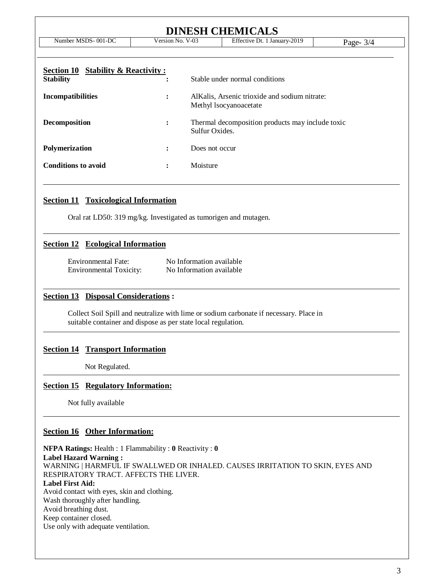| <b>DINESH CHEMICALS</b>                                                                       |                                  |                                                                                                           |             |  |
|-----------------------------------------------------------------------------------------------|----------------------------------|-----------------------------------------------------------------------------------------------------------|-------------|--|
| Number MSDS-001-DC                                                                            | Version No. V-03                 | Effective Dt. 1 January-2019                                                                              | Page- $3/4$ |  |
| <b>Section 10 Stability &amp; Reactivity:</b><br><b>Stability</b><br><b>Incompatibilities</b> | ٠<br>$\bullet$<br>$\ddot{\cdot}$ | Stable under normal conditions<br>AlKalis, Arsenic trioxide and sodium nitrate:<br>Methyl Isocyanoacetate |             |  |
| Decomposition                                                                                 | $\ddot{\cdot}$                   | Thermal decomposition products may include toxic<br>Sulfur Oxides.                                        |             |  |
| Polymerization                                                                                | Does not occur<br>$\ddot{\cdot}$ |                                                                                                           |             |  |
| <b>Conditions to avoid</b>                                                                    | $\ddot{\cdot}$                   | Moisture                                                                                                  |             |  |

## **Section 11 Toxicological Information**

Oral rat LD50: 319 mg/kg. Investigated as tumorigen and mutagen.

#### **Section 12 Ecological Information**

| Environmental Fate:            | No Information available |
|--------------------------------|--------------------------|
| <b>Environmental Toxicity:</b> | No Information available |

#### **Section 13 Disposal Considerations :**

Collect Soil Spill and neutralize with lime or sodium carbonate if necessary. Place in suitable container and dispose as per state local regulation.

#### **Section 14 Transport Information**

Not Regulated.

## **Section 15 Regulatory Information:**

Not fully available

## **Section 16 Other Information:**

**NFPA Ratings:** Health : 1 Flammability : **0** Reactivity : **0 Label Hazard Warning :** WARNING | HARMFUL IF SWALLWED OR INHALED. CAUSES IRRITATION TO SKIN, EYES AND RESPIRATORY TRACT. AFFECTS THE LIVER. **Label First Aid:** Avoid contact with eyes, skin and clothing. Wash thoroughly after handling. Avoid breathing dust. Keep container closed. Use only with adequate ventilation.